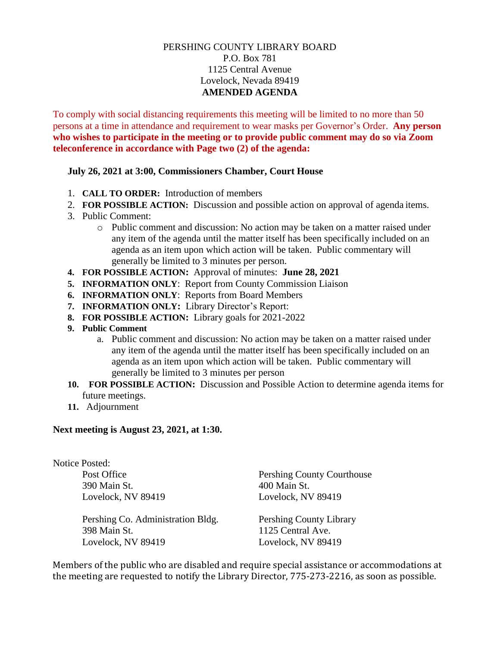## PERSHING COUNTY LIBRARY BOARD P.O. Box 781 1125 Central Avenue Lovelock, Nevada 89419 **AMENDED AGENDA**

To comply with social distancing requirements this meeting will be limited to no more than 50 persons at a time in attendance and requirement to wear masks per Governor's Order. **Any person who wishes to participate in the meeting or to provide public comment may do so via Zoom teleconference in accordance with Page two (2) of the agenda:** 

## **July 26, 2021 at 3:00, Commissioners Chamber, Court House**

- 1. **CALL TO ORDER:** Introduction of members
- 2. **FOR POSSIBLE ACTION:** Discussion and possible action on approval of agenda items.
- 3. Public Comment:
	- o Public comment and discussion: No action may be taken on a matter raised under any item of the agenda until the matter itself has been specifically included on an agenda as an item upon which action will be taken. Public commentary will generally be limited to 3 minutes per person.
- **4. FOR POSSIBLE ACTION:** Approval of minutes: **June 28, 2021**
- **5. INFORMATION ONLY**: Report from County Commission Liaison
- **6. INFORMATION ONLY**: Reports from Board Members
- **7. INFORMATION ONLY:** Library Director's Report:
- **8. FOR POSSIBLE ACTION:** Library goals for 2021-2022
- **9. Public Comment**
	- a. Public comment and discussion: No action may be taken on a matter raised under any item of the agenda until the matter itself has been specifically included on an agenda as an item upon which action will be taken. Public commentary will generally be limited to 3 minutes per person
- **10. FOR POSSIBLE ACTION:** Discussion and Possible Action to determine agenda items for future meetings.
- **11.** Adjournment

## **Next meeting is August 23, 2021, at 1:30.**

| <b>Notice Posted:</b>             |                                |
|-----------------------------------|--------------------------------|
| Post Office                       | Pershing County Courthouse     |
| 390 Main St.                      | 400 Main St.                   |
| Lovelock, NV 89419                | Lovelock, NV 89419             |
| Pershing Co. Administration Bldg. | <b>Pershing County Library</b> |
| 398 Main St.                      | 1125 Central Ave.              |
| Lovelock, NV 89419                | Lovelock, NV 89419             |
|                                   |                                |

Members of the public who are disabled and require special assistance or accommodations at the meeting are requested to notify the Library Director, 775-273-2216, as soon as possible.